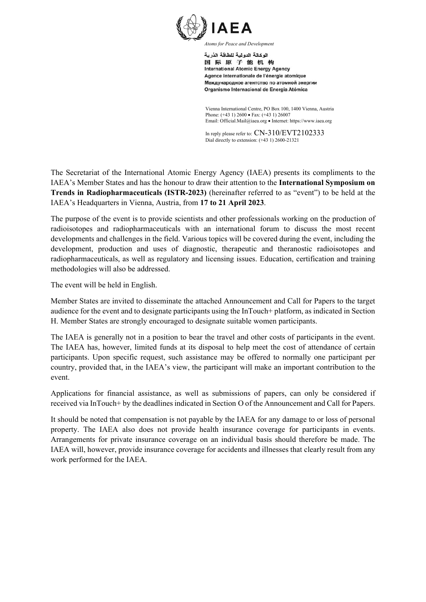

اله كالة الده لبة للطاقة الذرية 国际原子能机构 **International Atomic Energy Agency** Agence internationale de l'énergie atomique Международное агентство по атомной энергии Organismo Internacional de Energía Atómica

Vienna International Centre, PO Box 100, 1400 Vienna, Austria Phone: (+43 1) 2600 • Fax: (+43 1) 26007 Email: Official.Mail@iaea.org · Internet: https://www.iaea.org

In reply please refer to:  $CN-310/EVT2102333$ Dial directly to extension: (+43 1) 2600-21321

The Secretariat of the International Atomic Energy Agency (IAEA) presents its compliments to the IAEA's Member States and has the honour to draw their attention to the **International Symposium on Trends in Radiopharmaceuticals (ISTR-2023)** (hereinafter referred to as "event") to be held at the IAEA's Headquarters in Vienna, Austria, from **17 to 21 April 2023**.

The purpose of the event is to provide scientists and other professionals working on the production of radioisotopes and radiopharmaceuticals with an international forum to discuss the most recent developments and challenges in the field. Various topics will be covered during the event, including the development, production and uses of diagnostic, therapeutic and theranostic radioisotopes and radiopharmaceuticals, as well as regulatory and licensing issues. Education, certification and training methodologies will also be addressed.

The event will be held in English.

Member States are invited to disseminate the attached Announcement and Call for Papers to the target audience for the event and to designate participants using the InTouch+ platform, as indicated in Section H. Member States are strongly encouraged to designate suitable women participants.

The IAEA is generally not in a position to bear the travel and other costs of participants in the event. The IAEA has, however, limited funds at its disposal to help meet the cost of attendance of certain participants. Upon specific request, such assistance may be offered to normally one participant per country, provided that, in the IAEA's view, the participant will make an important contribution to the event.

Applications for financial assistance, as well as submissions of papers, can only be considered if received via InTouch+ by the deadlines indicated in Section O of the Announcement and Call for Papers.

It should be noted that compensation is not payable by the IAEA for any damage to or loss of personal property. The IAEA also does not provide health insurance coverage for participants in events. Arrangements for private insurance coverage on an individual basis should therefore be made. The IAEA will, however, provide insurance coverage for accidents and illnesses that clearly result from any work performed for the IAEA.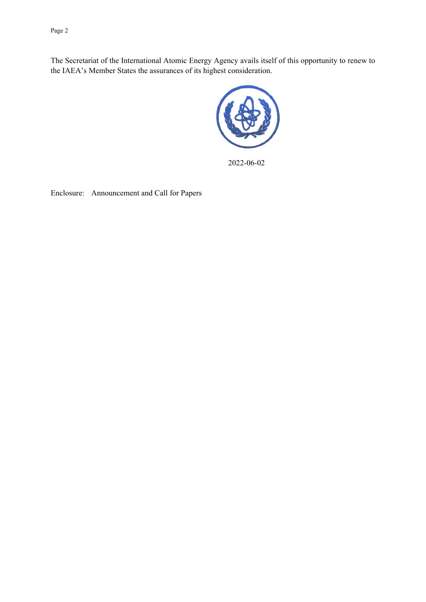Page 2

The Secretariat of the International Atomic Energy Agency avails itself of this opportunity to renew to the IAEA's Member States the assurances of its highest consideration.



2022-06-02

Enclosure: Announcement and Call for Papers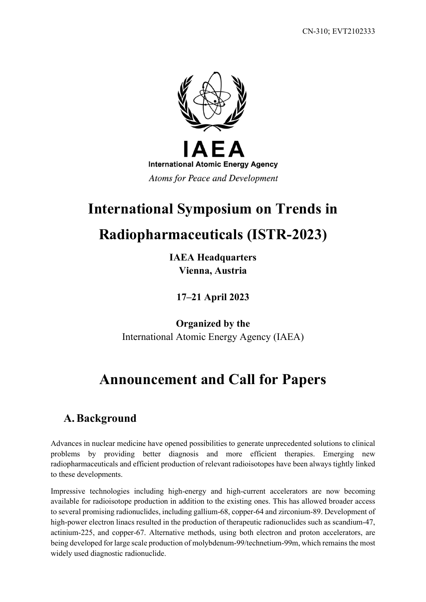

# **International Symposium on Trends in**

# **Radiopharmaceuticals (ISTR-2023)**

**IAEA Headquarters Vienna, Austria**

**17–21 April 2023**

**Organized by the** International Atomic Energy Agency (IAEA)

# **Announcement and Call for Papers**

### **A.Background**

Advances in nuclear medicine have opened possibilities to generate unprecedented solutions to clinical problems by providing better diagnosis and more efficient therapies. Emerging new radiopharmaceuticals and efficient production of relevant radioisotopes have been always tightly linked to these developments.

Impressive technologies including high-energy and high-current accelerators are now becoming available for radioisotope production in addition to the existing ones. This has allowed broader access to several promising radionuclides, including gallium-68, copper-64 and zirconium-89. Development of high-power electron linacs resulted in the production of therapeutic radionuclides such as scandium-47, actinium-225, and copper-67. Alternative methods, using both electron and proton accelerators, are being developed for large scale production of molybdenum-99/technetium-99m, which remains the most widely used diagnostic radionuclide.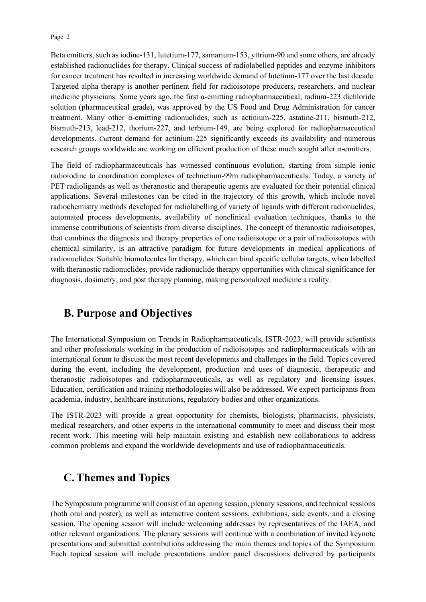Beta emitters, such as iodine-131, lutetium-177, samarium-153, yttrium-90 and some others, are already established radionuclides for therapy. Clinical success of radiolabelled peptides and enzyme inhibitors for cancer treatment has resulted in increasing worldwide demand of lutetium-177 over the last decade. Targeted alpha therapy is another pertinent field for radioisotope producers, researchers, and nuclear medicine physicians. Some years ago, the first  $\alpha$ -emitting radiopharmaceutical, radium-223 dichloride solution (pharmaceutical grade), was approved by the US Food and Drug Administration for cancer treatment. Many other α-emitting radionuclides, such as actinium-225, astatine-211, bismuth-212, bismuth-213, lead-212, thorium-227, and terbium-149, are being explored for radiopharmaceutical developments. Current demand for actinium-225 significantly exceeds its availability and numerous research groups worldwide are working on efficient production of these much sought after  $\alpha$ -emitters.

The field of radiopharmaceuticals has witnessed continuous evolution, starting from simple ionic radioiodine to coordination complexes of technetium-99m radiopharmaceuticals. Today, a variety of PET radioligands as well as theranostic and therapeutic agents are evaluated for their potential clinical applications. Several milestones can be cited in the trajectory of this growth, which include novel radiochemistry methods developed for radiolabelling of variety of ligands with different radionuclides, automated process developments, availability of nonclinical evaluation techniques, thanks to the immense contributions of scientists from diverse disciplines. The concept of theranostic radioisotopes, that combines the diagnosis and therapy properties of one radioisotope or a pair of radioisotopes with chemical similarity, is an attractive paradigm for future developments in medical applications of radionuclides. Suitable biomolecules for therapy, which can bind specific cellular targets, when labelled with theranostic radionuclides, provide radionuclide therapy opportunities with clinical significance for diagnosis, dosimetry, and post therapy planning, making personalized medicine a reality.

#### **B. Purpose and Objectives**

The International Symposium on Trends in Radiopharmaceuticals, ISTR-2023, will provide scientists and other professionals working in the production of radioisotopes and radiopharmaceuticals with an international forum to discuss the most recent developments and challenges in the field. Topics covered during the event, including the development, production and uses of diagnostic, therapeutic and theranostic radioisotopes and radiopharmaceuticals, as well as regulatory and licensing issues. Education, certification and training methodologies will also be addressed. We expect participants from academia, industry, healthcare institutions, regulatory bodies and other organizations.

The ISTR-2023 will provide a great opportunity for chemists, biologists, pharmacists, physicists, medical researchers, and other experts in the international community to meet and discuss their most recent work. This meeting will help maintain existing and establish new collaborations to address common problems and expand the worldwide developments and use of radiopharmaceuticals.

#### **C.Themes and Topics**

The Symposium programme will consist of an opening session, plenary sessions, and technical sessions (both oral and poster), as well as interactive content sessions, exhibitions, side events, and a closing session. The opening session will include welcoming addresses by representatives of the IAEA, and other relevant organizations. The plenary sessions will continue with a combination of invited keynote presentations and submitted contributions addressing the main themes and topics of the Symposium. Each topical session will include presentations and/or panel discussions delivered by participants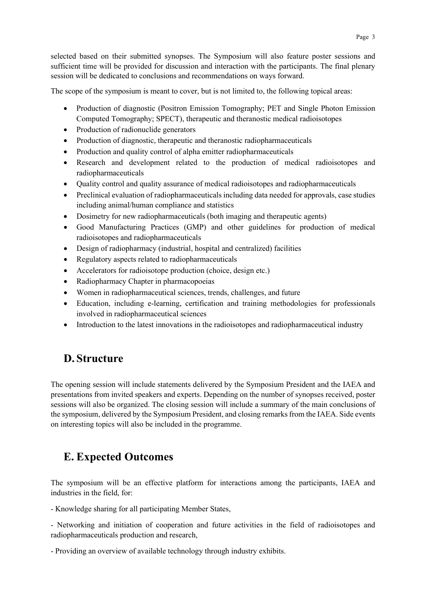selected based on their submitted synopses. The Symposium will also feature poster sessions and sufficient time will be provided for discussion and interaction with the participants. The final plenary session will be dedicated to conclusions and recommendations on ways forward.

The scope of the symposium is meant to cover, but is not limited to, the following topical areas:

- Production of diagnostic (Positron Emission Tomography; PET and Single Photon Emission Computed Tomography; SPECT), therapeutic and theranostic medical radioisotopes
- Production of radionuclide generators
- Production of diagnostic, therapeutic and theranostic radiopharmaceuticals
- Production and quality control of alpha emitter radiopharmaceuticals
- Research and development related to the production of medical radioisotopes and radiopharmaceuticals
- Quality control and quality assurance of medical radioisotopes and radiopharmaceuticals
- Preclinical evaluation of radiopharmaceuticals including data needed for approvals, case studies including animal/human compliance and statistics
- Dosimetry for new radiopharmaceuticals (both imaging and therapeutic agents)
- Good Manufacturing Practices (GMP) and other guidelines for production of medical radioisotopes and radiopharmaceuticals
- Design of radiopharmacy (industrial, hospital and centralized) facilities
- Regulatory aspects related to radiopharmaceuticals
- Accelerators for radioisotope production (choice, design etc.)
- Radiopharmacy Chapter in pharmacopoeias
- Women in radiopharmaceutical sciences, trends, challenges, and future
- Education, including e-learning, certification and training methodologies for professionals involved in radiopharmaceutical sciences
- Introduction to the latest innovations in the radioisotopes and radiopharmaceutical industry

### **D. Structure**

The opening session will include statements delivered by the Symposium President and the IAEA and presentations from invited speakers and experts. Depending on the number of synopses received, poster sessions will also be organized. The closing session will include a summary of the main conclusions of the symposium, delivered by the Symposium President, and closing remarks from the IAEA. Side events on interesting topics will also be included in the programme.

### **E. Expected Outcomes**

The symposium will be an effective platform for interactions among the participants, IAEA and industries in the field, for:

- Knowledge sharing for all participating Member States,

- Networking and initiation of cooperation and future activities in the field of radioisotopes and radiopharmaceuticals production and research,

- Providing an overview of available technology through industry exhibits.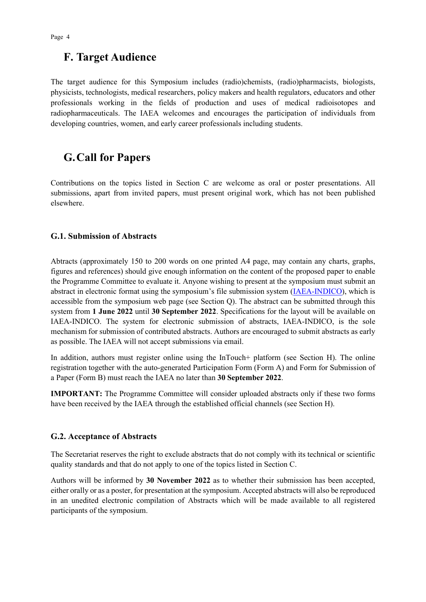### **F. Target Audience**

The target audience for this Symposium includes (radio)chemists, (radio)pharmacists, biologists, physicists, technologists, medical researchers, policy makers and health regulators, educators and other professionals working in the fields of production and uses of medical radioisotopes and radiopharmaceuticals. The IAEA welcomes and encourages the participation of individuals from developing countries, women, and early career professionals including students.

### **G.Call for Papers**

Contributions on the topics listed in Section C are welcome as oral or poster presentations. All submissions, apart from invited papers, must present original work, which has not been published elsewhere.

#### **G.1. Submission of Abstracts**

Abtracts (approximately 150 to 200 words on one printed A4 page, may contain any charts, graphs, figures and references) should give enough information on the content of the proposed paper to enable the Programme Committee to evaluate it. Anyone wishing to present at the symposium must submit an abstract in electronic format using the symposium's file submission system [\(IAEA-INDICO\)](https://conferences.iaea.org/event/312/), which is accessible from the symposium web page (see Section Q). The abstract can be submitted through this system from **1 June 2022** until **30 September 2022**. Specifications for the layout will be available on IAEA-INDICO. The system for electronic submission of abstracts, IAEA-INDICO, is the sole mechanism for submission of contributed abstracts. Authors are encouraged to submit abstracts as early as possible. The IAEA will not accept submissions via email.

In addition, authors must register online using the InTouch+ platform (see Section H). The online registration together with the auto-generated Participation Form (Form A) and Form for Submission of a Paper (Form B) must reach the IAEA no later than **30 September 2022**.

**IMPORTANT:** The Programme Committee will consider uploaded abstracts only if these two forms have been received by the IAEA through the established official channels (see Section H).

#### **G.2. Acceptance of Abstracts**

The Secretariat reserves the right to exclude abstracts that do not comply with its technical or scientific quality standards and that do not apply to one of the topics listed in Section C.

Authors will be informed by **30 November 2022** as to whether their submission has been accepted, either orally or as a poster, for presentation at the symposium. Accepted abstracts will also be reproduced in an unedited electronic compilation of Abstracts which will be made available to all registered participants of the symposium.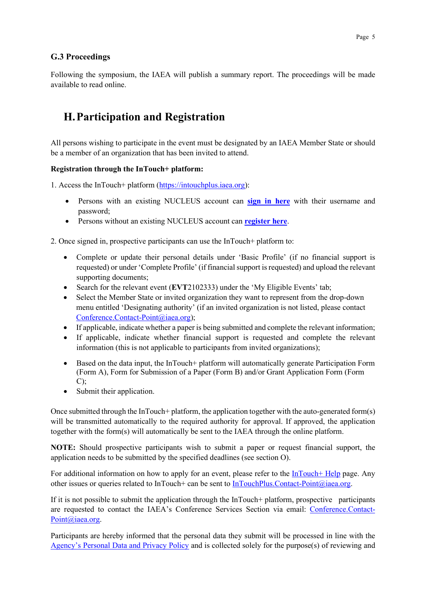#### **G.3 Proceedings**

Following the symposium, the IAEA will publish a summary report. The proceedings will be made available to read online.

### **H.Participation and Registration**

All persons wishing to participate in the event must be designated by an IAEA Member State or should be a member of an organization that has been invited to attend.

#### **Registration through the InTouch+ platform:**

1. Access the InTouch+ platform [\(https://intouchplus.iaea.org\)](https://intouchplus.iaea.org/):

- Persons with an existing NUCLEUS account can **[sign in](https://intouchplus.iaea.org/) here** with their username and password;
- Persons without an existing NUCLEUS account can **[register](https://nucleus.iaea.org/Pages/Help/Registration.aspx) here**.

2. Once signed in, prospective participants can use the InTouch+ platform to:

- Complete or update their personal details under 'Basic Profile' (if no financial support is requested) or under 'Complete Profile' (if financial support is requested) and upload the relevant supporting documents;
- Search for the relevant event (**EVT**2102333) under the 'My Eligible Events' tab;
- Select the Member State or invited organization they want to represent from the drop-down menu entitled 'Designating authority' (if an invited organization is not listed, please contact [Conference.Contact-Point@iaea.org\)](mailto:Conference.Contact-Point@iaea.org);
- If applicable, indicate whether a paper is being submitted and complete the relevant information;
- If applicable, indicate whether financial support is requested and complete the relevant information (this is not applicable to participants from invited organizations);
- Based on the data input, the InTouch+ platform will automatically generate Participation Form (Form A), Form for Submission of a Paper (Form B) and/or Grant Application Form (Form C);
- Submit their application.

Once submitted through the InTouch+ platform, the application together with the auto-generated form(s) will be transmitted automatically to the required authority for approval. If approved, the application together with the form(s) will automatically be sent to the IAEA through the online platform.

**NOTE:** Should prospective participants wish to submit a paper or request financial support, the application needs to be submitted by the specified deadlines (see section O).

For additional information on how to apply for an event, please refer to the [InTouch+ Help](https://nucleus.iaea.org/sites/intouchplushelp/Pages/UsingInTouchPlusHelp.aspx) page. Any other issues or queries related to InTouch+ can be sent to [InTouchPlus.Contact-Point@iaea.org.](mailto:InTouchPlus.Contact-Point@iaea.org)

If it is not possible to submit the application through the InTouch+ platform, prospective participants are requested to contact the IAEA's Conference Services Section via email: [Conference.Contact-](mailto:Conference.Contact-Point@iaea.org)[Point@iaea.org.](mailto:Conference.Contact-Point@iaea.org)

Participants are hereby informed that the personal data they submit will be processed in line with the [Agency's Personal Data and Privacy Policy](https://www.iaea.org/about/privacy-policy#:%7E:text=The%20IAEA%20is%20committed%20to,accountable%20and%20non%2Ddiscriminatory%20manner.&text=The%20Privacy%20Policy%20provides%20the,carrying%20out%20its%20mandated%20activities.) and is collected solely for the purpose(s) of reviewing and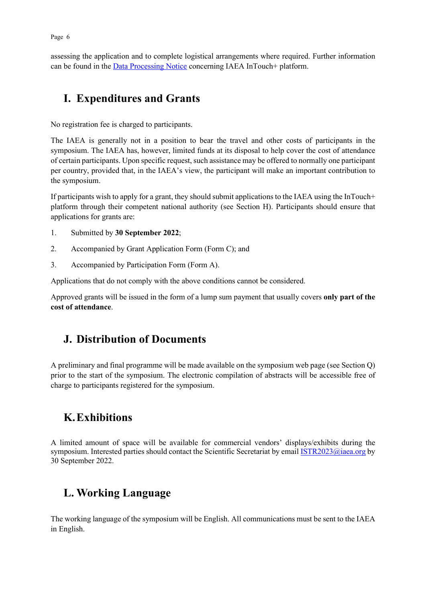assessing the application and to complete logistical arrangements where required. Further information can be found in the [Data Processing Notice](https://nucleus.iaea.org/sites/intouchplushelp/Documents/itp_dpn.pdf) concerning IAEA InTouch+ platform.

## **I. Expenditures and Grants**

No registration fee is charged to participants.

The IAEA is generally not in a position to bear the travel and other costs of participants in the symposium. The IAEA has, however, limited funds at its disposal to help cover the cost of attendance of certain participants. Upon specific request, such assistance may be offered to normally one participant per country, provided that, in the IAEA's view, the participant will make an important contribution to the symposium.

If participants wish to apply for a grant, they should submit applications to the IAEA using the InTouch+ platform through their competent national authority (see Section H). Participants should ensure that applications for grants are:

- 1. Submitted by **30 September 2022**;
- 2. Accompanied by Grant Application Form (Form C); and
- 3. Accompanied by Participation Form (Form A).

Applications that do not comply with the above conditions cannot be considered.

Approved grants will be issued in the form of a lump sum payment that usually covers **only part of the cost of attendance**.

### **J. Distribution of Documents**

A preliminary and final programme will be made available on the symposium web page (see Section Q) prior to the start of the symposium. The electronic compilation of abstracts will be accessible free of charge to participants registered for the symposium.

### **K.Exhibitions**

A limited amount of space will be available for commercial vendors' displays/exhibits during the symposium. Interested parties should contact the Scientific Secretariat by email [ISTR2023@iaea.org](mailto:ISTR2023@iaea.org) by 30 September 2022.

# **L. Working Language**

The working language of the symposium will be English. All communications must be sent to the IAEA in English.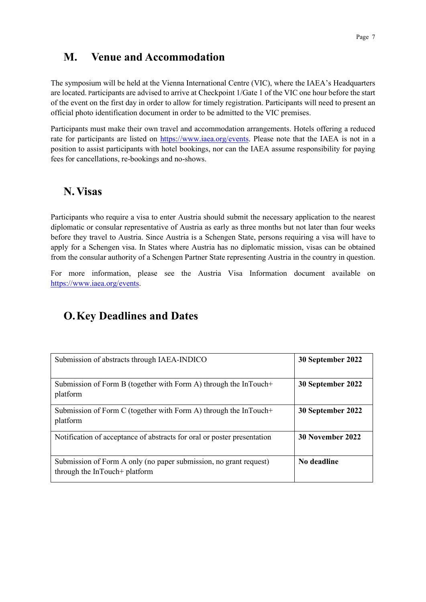### **M. Venue and Accommodation**

The symposium will be held at the Vienna International Centre (VIC), where the IAEA's Headquarters are located. Participants are advised to arrive at Checkpoint 1/Gate 1 of the VIC one hour before the start of the event on the first day in order to allow for timely registration. Participants will need to present an official photo identification document in order to be admitted to the VIC premises.

Participants must make their own travel and accommodation arrangements. Hotels offering a reduced rate for participants are listed on [https://www.iaea.org/events.](https://www.iaea.org/events) Please note that the IAEA is not in a position to assist participants with hotel bookings, nor can the IAEA assume responsibility for paying fees for cancellations, re-bookings and no-shows.

### **N. Visas**

Participants who require a visa to enter Austria should submit the necessary application to the nearest diplomatic or consular representative of Austria as early as three months but not later than four weeks before they travel to Austria. Since Austria is a Schengen State, persons requiring a visa will have to apply for a Schengen visa. In States where Austria has no diplomatic mission, visas can be obtained from the consular authority of a Schengen Partner State representing Austria in the country in question.

For more information, please see the Austria Visa Information document available on [https://www.iaea.org/events.](https://www.iaea.org/events)

## **O.Key Deadlines and Dates**

| Submission of abstracts through IAEA-INDICO                                                        | 30 September 2022 |
|----------------------------------------------------------------------------------------------------|-------------------|
| Submission of Form B (together with Form A) through the InTouch+<br>platform                       | 30 September 2022 |
| Submission of Form C (together with Form A) through the InTouch+<br>platform                       | 30 September 2022 |
| Notification of acceptance of abstracts for oral or poster presentation                            | 30 November 2022  |
| Submission of Form A only (no paper submission, no grant request)<br>through the InTouch+ platform | No deadline       |